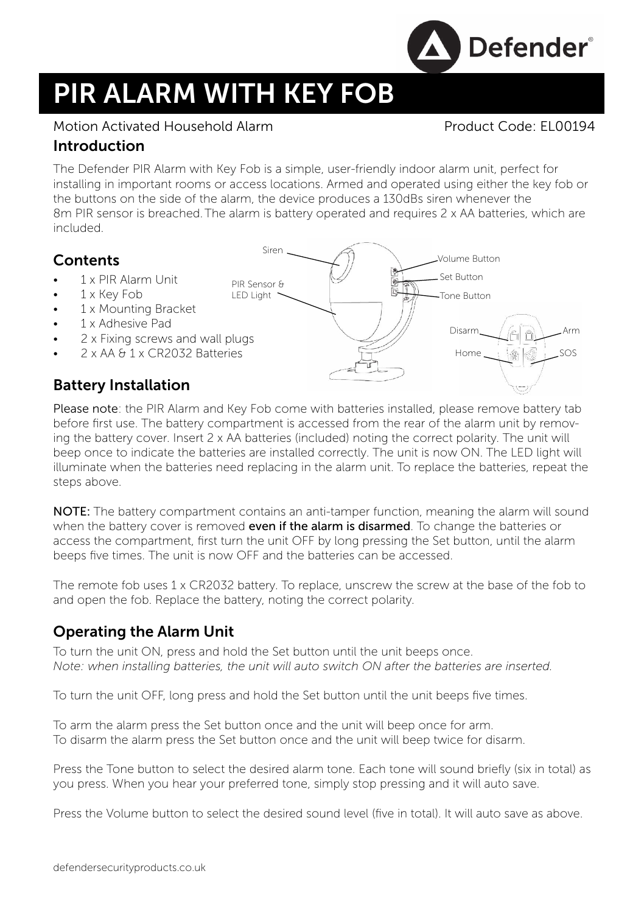

# PIR ALARM WITH KEY FOB

#### Motion Activated Household Alarm **Product Code: EL00194**

#### Introduction

The Defender PIR Alarm with Key Fob is a simple, user-friendly indoor alarm unit, perfect for installing in important rooms or access locations. Armed and operated using either the key fob or the buttons on the side of the alarm, the device produces a 130dBs siren whenever the 8m PIR sensor is breached.The alarm is battery operated and requires 2 x AA batteries, which are included.

### **Contents**

- 1 x PIR Alarm Unit
- 1 x Key Fob
- 1 x Mounting Bracket
- 1 x Adhesive Pad
- 2 x Fixing screws and wall plugs
- 2 x AA & 1 x CR2032 Batteries

## Battery Installation

Please note: the PIR Alarm and Key Fob come with batteries installed, please remove battery tab before first use. The battery compartment is accessed from the rear of the alarm unit by removing the battery cover. Insert 2 x AA batteries (included) noting the correct polarity. The unit will beep once to indicate the batteries are installed correctly. The unit is now ON. The LED light will illuminate when the batteries need replacing in the alarm unit. To replace the batteries, repeat the steps above.

NOTE: The battery compartment contains an anti-tamper function, meaning the alarm will sound when the battery cover is removed **even if the alarm is disarmed**. To change the batteries or access the compartment, first turn the unit OFF by long pressing the Set button, until the alarm beeps five times. The unit is now OFF and the batteries can be accessed.

The remote fob uses 1 x CR2032 battery. To replace, unscrew the screw at the base of the fob to and open the fob. Replace the battery, noting the correct polarity.

### Operating the Alarm Unit

To turn the unit ON, press and hold the Set button until the unit beeps once. *Note: when installing batteries, the unit will auto switch ON after the batteries are inserted.*

To turn the unit OFF, long press and hold the Set button until the unit beeps five times.

To arm the alarm press the Set button once and the unit will beep once for arm. To disarm the alarm press the Set button once and the unit will beep twice for disarm.

Press the Tone button to select the desired alarm tone. Each tone will sound briefly (six in total) as you press. When you hear your preferred tone, simply stop pressing and it will auto save.

Press the Volume button to select the desired sound level (five in total). It will auto save as above.



defendersecurityproducts.co.uk